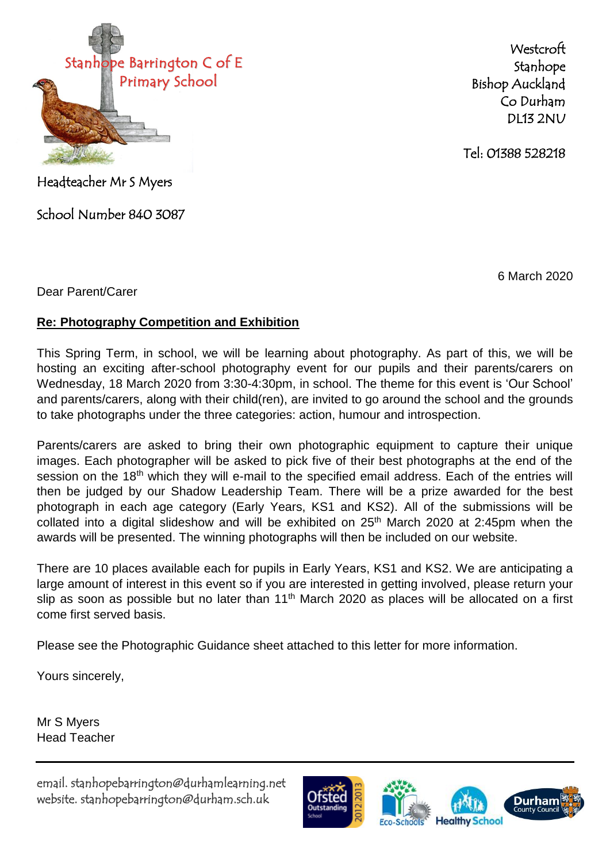

**Westcroft** Stanhope Bishop Auckland Co Durham DL13 2NU

Tel: 01388 528218

Headteacher Mr S Myers

School Number 840 3087

6 March 2020

Dear Parent/Carer

## **Re: Photography Competition and Exhibition**

This Spring Term, in school, we will be learning about photography. As part of this, we will be hosting an exciting after-school photography event for our pupils and their parents/carers on Wednesday, 18 March 2020 from 3:30-4:30pm, in school. The theme for this event is 'Our School' and parents/carers, along with their child(ren), are invited to go around the school and the grounds to take photographs under the three categories: action, humour and introspection.

Parents/carers are asked to bring their own photographic equipment to capture their unique images. Each photographer will be asked to pick five of their best photographs at the end of the session on the 18<sup>th</sup> which they will e-mail to the specified email address. Each of the entries will then be judged by our Shadow Leadership Team. There will be a prize awarded for the best photograph in each age category (Early Years, KS1 and KS2). All of the submissions will be collated into a digital slideshow and will be exhibited on  $25<sup>th</sup>$  March 2020 at 2:45pm when the awards will be presented. The winning photographs will then be included on our website.

There are 10 places available each for pupils in Early Years, KS1 and KS2. We are anticipating a large amount of interest in this event so if you are interested in getting involved, please return your slip as soon as possible but no later than 11<sup>th</sup> March 2020 as places will be allocated on a first come first served basis.

Please see the Photographic Guidance sheet attached to this letter for more information.

Yours sincerely,

Mr S Myers Head Teacher

email. stanhopebarrington@durhamlearning.net website. stanhopebarrington@durham.sch.uk